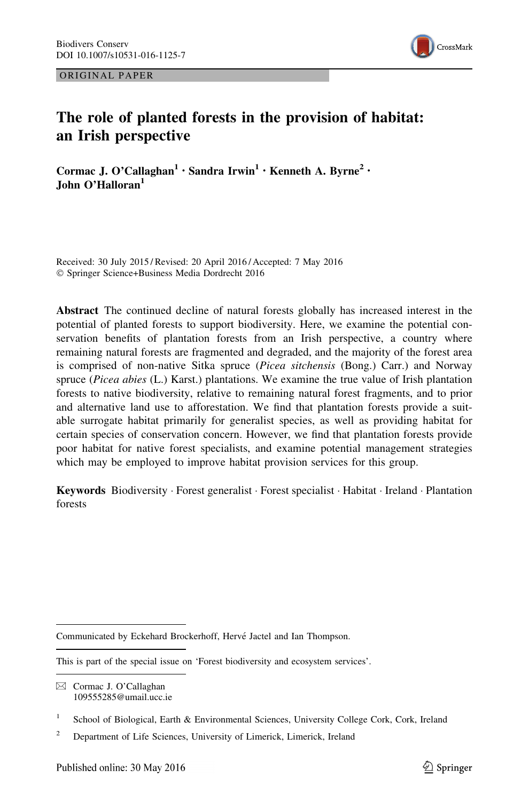ORIGINAL PAPER



# The role of planted forests in the provision of habitat: an Irish perspective

Cormac J. O'Callaghan<sup>1</sup> · Sandra Irwin<sup>1</sup> · Kenneth A. Byrne<sup>2</sup> ·  $I$ ohn O'Halloran $<sup>1</sup>$ </sup>

Received: 30 July 2015 / Revised: 20 April 2016 / Accepted: 7 May 2016 - Springer Science+Business Media Dordrecht 2016

Abstract The continued decline of natural forests globally has increased interest in the potential of planted forests to support biodiversity. Here, we examine the potential conservation benefits of plantation forests from an Irish perspective, a country where remaining natural forests are fragmented and degraded, and the majority of the forest area is comprised of non-native Sitka spruce (Picea sitchensis (Bong.) Carr.) and Norway spruce (Picea abies (L.) Karst.) plantations. We examine the true value of Irish plantation forests to native biodiversity, relative to remaining natural forest fragments, and to prior and alternative land use to afforestation. We find that plantation forests provide a suitable surrogate habitat primarily for generalist species, as well as providing habitat for certain species of conservation concern. However, we find that plantation forests provide poor habitat for native forest specialists, and examine potential management strategies which may be employed to improve habitat provision services for this group.

Keywords Biodiversity · Forest generalist · Forest specialist · Habitat · Ireland · Plantation forests

 $\boxtimes$  Cormac J. O'Callaghan 109555285@umail.ucc.ie

Communicated by Eckehard Brockerhoff, Hervé Jactel and Ian Thompson.

This is part of the special issue on 'Forest biodiversity and ecosystem services'.

<sup>&</sup>lt;sup>1</sup> School of Biological, Earth & Environmental Sciences, University College Cork, Cork, Ireland

<sup>&</sup>lt;sup>2</sup> Department of Life Sciences, University of Limerick, Limerick, Ireland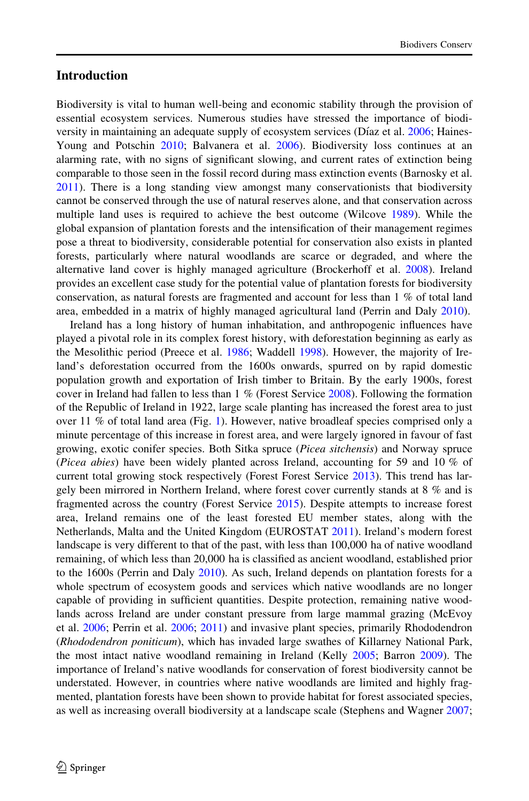## **Introduction**

Biodiversity is vital to human well-being and economic stability through the provision of essential ecosystem services. Numerous studies have stressed the importance of biodi-versity in maintaining an adequate supply of ecosystem services (Díaz et al. [2006;](#page-17-0) Haines-Young and Potschin [2010;](#page-18-0) Balvanera et al. [2006\)](#page-16-0). Biodiversity loss continues at an alarming rate, with no signs of significant slowing, and current rates of extinction being comparable to those seen in the fossil record during mass extinction events (Barnosky et al. [2011\)](#page-16-0). There is a long standing view amongst many conservationists that biodiversity cannot be conserved through the use of natural reserves alone, and that conservation across multiple land uses is required to achieve the best outcome (Wilcove [1989](#page-21-0)). While the global expansion of plantation forests and the intensification of their management regimes pose a threat to biodiversity, considerable potential for conservation also exists in planted forests, particularly where natural woodlands are scarce or degraded, and where the alternative land cover is highly managed agriculture (Brockerhoff et al. [2008](#page-16-0)). Ireland provides an excellent case study for the potential value of plantation forests for biodiversity conservation, as natural forests are fragmented and account for less than 1 % of total land area, embedded in a matrix of highly managed agricultural land (Perrin and Daly [2010](#page-20-0)).

Ireland has a long history of human inhabitation, and anthropogenic influences have played a pivotal role in its complex forest history, with deforestation beginning as early as the Mesolithic period (Preece et al. [1986](#page-20-0); Waddell [1998\)](#page-21-0). However, the majority of Ireland's deforestation occurred from the 1600s onwards, spurred on by rapid domestic population growth and exportation of Irish timber to Britain. By the early 1900s, forest cover in Ireland had fallen to less than 1 % (Forest Service [2008\)](#page-17-0). Following the formation of the Republic of Ireland in 1922, large scale planting has increased the forest area to just over 11 % of total land area (Fig. [1\)](#page-2-0). However, native broadleaf species comprised only a minute percentage of this increase in forest area, and were largely ignored in favour of fast growing, exotic conifer species. Both Sitka spruce (Picea sitchensis) and Norway spruce (Picea abies) have been widely planted across Ireland, accounting for 59 and 10  $%$  of current total growing stock respectively (Forest Forest Service [2013\)](#page-17-0). This trend has largely been mirrored in Northern Ireland, where forest cover currently stands at 8 % and is fragmented across the country (Forest Service [2015\)](#page-17-0). Despite attempts to increase forest area, Ireland remains one of the least forested EU member states, along with the Netherlands, Malta and the United Kingdom (EUROSTAT [2011\)](#page-17-0). Ireland's modern forest landscape is very different to that of the past, with less than 100,000 ha of native woodland remaining, of which less than 20,000 ha is classified as ancient woodland, established prior to the 1600s (Perrin and Daly [2010\)](#page-20-0). As such, Ireland depends on plantation forests for a whole spectrum of ecosystem goods and services which native woodlands are no longer capable of providing in sufficient quantities. Despite protection, remaining native woodlands across Ireland are under constant pressure from large mammal grazing (McEvoy et al. [2006;](#page-19-0) Perrin et al. [2006;](#page-20-0) [2011\)](#page-20-0) and invasive plant species, primarily Rhododendron (Rhododendron poniticum), which has invaded large swathes of Killarney National Park, the most intact native woodland remaining in Ireland (Kelly [2005;](#page-18-0) Barron [2009](#page-16-0)). The importance of Ireland's native woodlands for conservation of forest biodiversity cannot be understated. However, in countries where native woodlands are limited and highly fragmented, plantation forests have been shown to provide habitat for forest associated species, as well as increasing overall biodiversity at a landscape scale (Stephens and Wagner [2007;](#page-20-0)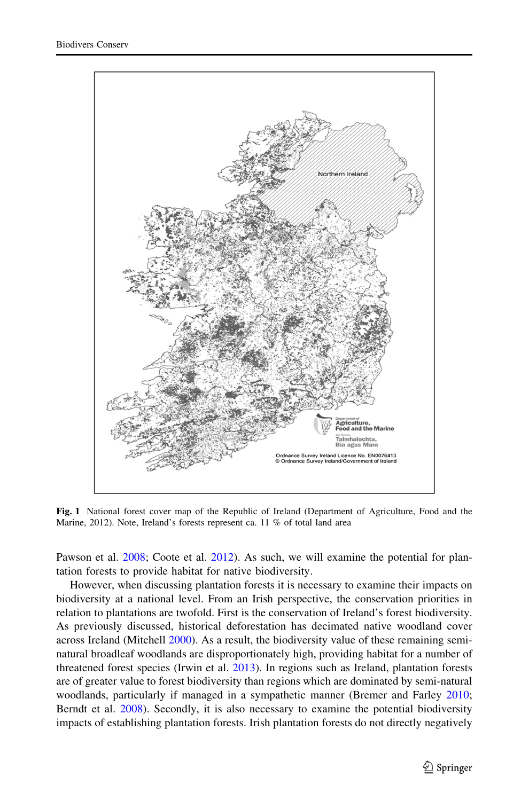<span id="page-2-0"></span>

Fig. 1 National forest cover map of the Republic of Ireland (Department of Agriculture, Food and the Marine, 2012). Note, Ireland's forests represent ca. 11 % of total land area

Pawson et al. [2008;](#page-20-0) Coote et al. [2012](#page-17-0)). As such, we will examine the potential for plantation forests to provide habitat for native biodiversity.

However, when discussing plantation forests it is necessary to examine their impacts on biodiversity at a national level. From an Irish perspective, the conservation priorities in relation to plantations are twofold. First is the conservation of Ireland's forest biodiversity. As previously discussed, historical deforestation has decimated native woodland cover across Ireland (Mitchell [2000](#page-19-0)). As a result, the biodiversity value of these remaining seminatural broadleaf woodlands are disproportionately high, providing habitat for a number of threatened forest species (Irwin et al. [2013](#page-18-0)). In regions such as Ireland, plantation forests are of greater value to forest biodiversity than regions which are dominated by semi-natural woodlands, particularly if managed in a sympathetic manner (Bremer and Farley [2010;](#page-16-0) Berndt et al. [2008\)](#page-16-0). Secondly, it is also necessary to examine the potential biodiversity impacts of establishing plantation forests. Irish plantation forests do not directly negatively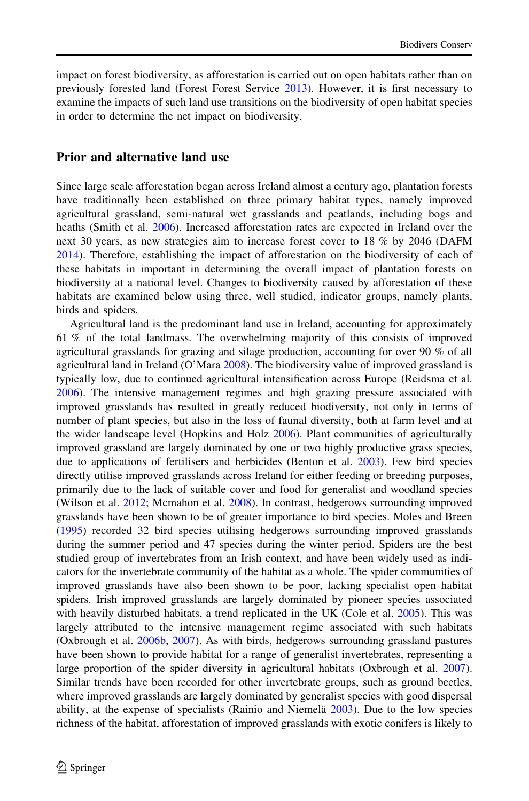impact on forest biodiversity, as afforestation is carried out on open habitats rather than on previously forested land (Forest Forest Service [2013\)](#page-17-0). However, it is first necessary to examine the impacts of such land use transitions on the biodiversity of open habitat species in order to determine the net impact on biodiversity.

### Prior and alternative land use

Since large scale afforestation began across Ireland almost a century ago, plantation forests have traditionally been established on three primary habitat types, namely improved agricultural grassland, semi-natural wet grasslands and peatlands, including bogs and heaths (Smith et al. [2006\)](#page-20-0). Increased afforestation rates are expected in Ireland over the next 30 years, as new strategies aim to increase forest cover to 18 % by 2046 (DAFM [2014\)](#page-17-0). Therefore, establishing the impact of afforestation on the biodiversity of each of these habitats in important in determining the overall impact of plantation forests on biodiversity at a national level. Changes to biodiversity caused by afforestation of these habitats are examined below using three, well studied, indicator groups, namely plants, birds and spiders.

Agricultural land is the predominant land use in Ireland, accounting for approximately 61 % of the total landmass. The overwhelming majority of this consists of improved agricultural grasslands for grazing and silage production, accounting for over 90 % of all agricultural land in Ireland (O'Mara [2008](#page-19-0)). The biodiversity value of improved grassland is typically low, due to continued agricultural intensification across Europe (Reidsma et al. [2006\)](#page-20-0). The intensive management regimes and high grazing pressure associated with improved grasslands has resulted in greatly reduced biodiversity, not only in terms of number of plant species, but also in the loss of faunal diversity, both at farm level and at the wider landscape level (Hopkins and Holz [2006\)](#page-18-0). Plant communities of agriculturally improved grassland are largely dominated by one or two highly productive grass species, due to applications of fertilisers and herbicides (Benton et al. [2003](#page-16-0)). Few bird species directly utilise improved grasslands across Ireland for either feeding or breeding purposes, primarily due to the lack of suitable cover and food for generalist and woodland species (Wilson et al. [2012](#page-21-0); Mcmahon et al. [2008](#page-19-0)). In contrast, hedgerows surrounding improved grasslands have been shown to be of greater importance to bird species. Moles and Breen ([1995\)](#page-19-0) recorded 32 bird species utilising hedgerows surrounding improved grasslands during the summer period and 47 species during the winter period. Spiders are the best studied group of invertebrates from an Irish context, and have been widely used as indicators for the invertebrate community of the habitat as a whole. The spider communities of improved grasslands have also been shown to be poor, lacking specialist open habitat spiders. Irish improved grasslands are largely dominated by pioneer species associated with heavily disturbed habitats, a trend replicated in the UK (Cole et al. [2005](#page-17-0)). This was largely attributed to the intensive management regime associated with such habitats (Oxbrough et al. [2006b,](#page-19-0) [2007](#page-19-0)). As with birds, hedgerows surrounding grassland pastures have been shown to provide habitat for a range of generalist invertebrates, representing a large proportion of the spider diversity in agricultural habitats (Oxbrough et al. [2007](#page-19-0)). Similar trends have been recorded for other invertebrate groups, such as ground beetles, where improved grasslands are largely dominated by generalist species with good dispersal ability, at the expense of specialists (Rainio and Niemelä [2003\)](#page-20-0). Due to the low species richness of the habitat, afforestation of improved grasslands with exotic conifers is likely to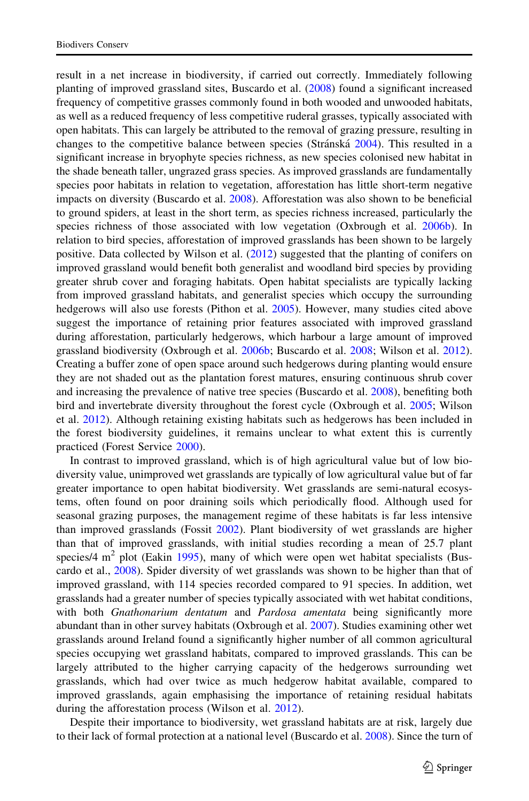result in a net increase in biodiversity, if carried out correctly. Immediately following planting of improved grassland sites, Buscardo et al. ([2008\)](#page-17-0) found a significant increased frequency of competitive grasses commonly found in both wooded and unwooded habitats, as well as a reduced frequency of less competitive ruderal grasses, typically associated with open habitats. This can largely be attributed to the removal of grazing pressure, resulting in changes to the competitive balance between species (Stránská [2004\)](#page-20-0). This resulted in a significant increase in bryophyte species richness, as new species colonised new habitat in the shade beneath taller, ungrazed grass species. As improved grasslands are fundamentally species poor habitats in relation to vegetation, afforestation has little short-term negative impacts on diversity (Buscardo et al. [2008](#page-17-0)). Afforestation was also shown to be beneficial to ground spiders, at least in the short term, as species richness increased, particularly the species richness of those associated with low vegetation (Oxbrough et al. [2006b\)](#page-19-0). In relation to bird species, afforestation of improved grasslands has been shown to be largely positive. Data collected by Wilson et al. ([2012\)](#page-21-0) suggested that the planting of conifers on improved grassland would benefit both generalist and woodland bird species by providing greater shrub cover and foraging habitats. Open habitat specialists are typically lacking from improved grassland habitats, and generalist species which occupy the surrounding hedgerows will also use forests (Pithon et al. [2005\)](#page-20-0). However, many studies cited above suggest the importance of retaining prior features associated with improved grassland during afforestation, particularly hedgerows, which harbour a large amount of improved grassland biodiversity (Oxbrough et al. [2006b](#page-19-0); Buscardo et al. [2008;](#page-17-0) Wilson et al. [2012](#page-21-0)). Creating a buffer zone of open space around such hedgerows during planting would ensure they are not shaded out as the plantation forest matures, ensuring continuous shrub cover and increasing the prevalence of native tree species (Buscardo et al. [2008](#page-17-0)), benefiting both bird and invertebrate diversity throughout the forest cycle (Oxbrough et al. [2005](#page-19-0); Wilson et al. [2012\)](#page-21-0). Although retaining existing habitats such as hedgerows has been included in the forest biodiversity guidelines, it remains unclear to what extent this is currently practiced (Forest Service [2000](#page-17-0)).

In contrast to improved grassland, which is of high agricultural value but of low biodiversity value, unimproved wet grasslands are typically of low agricultural value but of far greater importance to open habitat biodiversity. Wet grasslands are semi-natural ecosystems, often found on poor draining soils which periodically flood. Although used for seasonal grazing purposes, the management regime of these habitats is far less intensive than improved grasslands (Fossit [2002\)](#page-17-0). Plant biodiversity of wet grasslands are higher than that of improved grasslands, with initial studies recording a mean of 25.7 plant species/4  $m<sup>2</sup>$  plot (Eakin [1995\)](#page-17-0), many of which were open wet habitat specialists (Buscardo et al., [2008\)](#page-17-0). Spider diversity of wet grasslands was shown to be higher than that of improved grassland, with 114 species recorded compared to 91 species. In addition, wet grasslands had a greater number of species typically associated with wet habitat conditions, with both *Gnathonarium dentatum* and *Pardosa amentata* being significantly more abundant than in other survey habitats (Oxbrough et al. [2007\)](#page-19-0). Studies examining other wet grasslands around Ireland found a significantly higher number of all common agricultural species occupying wet grassland habitats, compared to improved grasslands. This can be largely attributed to the higher carrying capacity of the hedgerows surrounding wet grasslands, which had over twice as much hedgerow habitat available, compared to improved grasslands, again emphasising the importance of retaining residual habitats during the afforestation process (Wilson et al. [2012](#page-21-0)).

Despite their importance to biodiversity, wet grassland habitats are at risk, largely due to their lack of formal protection at a national level (Buscardo et al. [2008](#page-17-0)). Since the turn of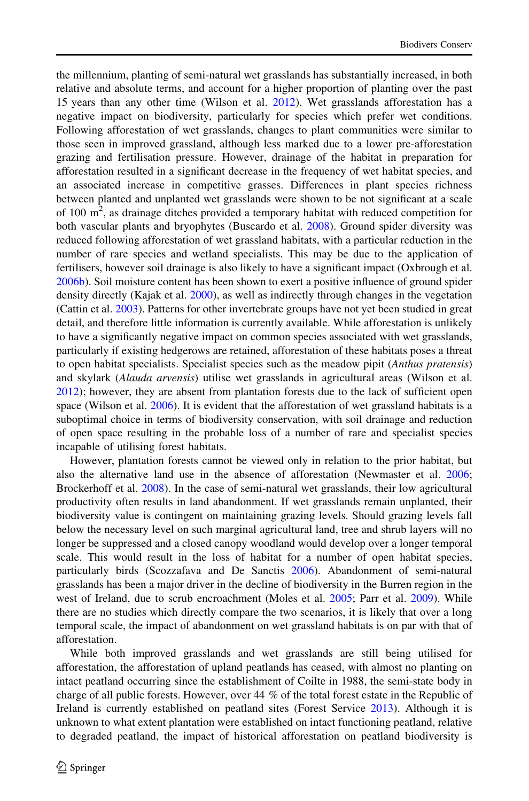the millennium, planting of semi-natural wet grasslands has substantially increased, in both relative and absolute terms, and account for a higher proportion of planting over the past 15 years than any other time (Wilson et al. [2012\)](#page-21-0). Wet grasslands afforestation has a negative impact on biodiversity, particularly for species which prefer wet conditions. Following afforestation of wet grasslands, changes to plant communities were similar to those seen in improved grassland, although less marked due to a lower pre-afforestation grazing and fertilisation pressure. However, drainage of the habitat in preparation for afforestation resulted in a significant decrease in the frequency of wet habitat species, and an associated increase in competitive grasses. Differences in plant species richness between planted and unplanted wet grasslands were shown to be not significant at a scale of 100  $\text{m}^2$ , as drainage ditches provided a temporary habitat with reduced competition for both vascular plants and bryophytes (Buscardo et al. [2008\)](#page-17-0). Ground spider diversity was reduced following afforestation of wet grassland habitats, with a particular reduction in the number of rare species and wetland specialists. This may be due to the application of fertilisers, however soil drainage is also likely to have a significant impact (Oxbrough et al. [2006b](#page-19-0)). Soil moisture content has been shown to exert a positive influence of ground spider density directly (Kajak et al. [2000\)](#page-18-0), as well as indirectly through changes in the vegetation (Cattin et al. [2003\)](#page-17-0). Patterns for other invertebrate groups have not yet been studied in great detail, and therefore little information is currently available. While afforestation is unlikely to have a significantly negative impact on common species associated with wet grasslands, particularly if existing hedgerows are retained, afforestation of these habitats poses a threat to open habitat specialists. Specialist species such as the meadow pipit (Anthus pratensis) and skylark (Alauda arvensis) utilise wet grasslands in agricultural areas (Wilson et al. [2012\)](#page-21-0); however, they are absent from plantation forests due to the lack of sufficient open space (Wilson et al. [2006](#page-21-0)). It is evident that the afforestation of wet grassland habitats is a suboptimal choice in terms of biodiversity conservation, with soil drainage and reduction of open space resulting in the probable loss of a number of rare and specialist species incapable of utilising forest habitats.

However, plantation forests cannot be viewed only in relation to the prior habitat, but also the alternative land use in the absence of afforestation (Newmaster et al. [2006;](#page-19-0) Brockerhoff et al. [2008\)](#page-16-0). In the case of semi-natural wet grasslands, their low agricultural productivity often results in land abandonment. If wet grasslands remain unplanted, their biodiversity value is contingent on maintaining grazing levels. Should grazing levels fall below the necessary level on such marginal agricultural land, tree and shrub layers will no longer be suppressed and a closed canopy woodland would develop over a longer temporal scale. This would result in the loss of habitat for a number of open habitat species, particularly birds (Scozzafava and De Sanctis [2006](#page-20-0)). Abandonment of semi-natural grasslands has been a major driver in the decline of biodiversity in the Burren region in the west of Ireland, due to scrub encroachment (Moles et al. [2005;](#page-19-0) Parr et al. [2009](#page-19-0)). While there are no studies which directly compare the two scenarios, it is likely that over a long temporal scale, the impact of abandonment on wet grassland habitats is on par with that of afforestation.

While both improved grasslands and wet grasslands are still being utilised for afforestation, the afforestation of upland peatlands has ceased, with almost no planting on intact peatland occurring since the establishment of Coilte in 1988, the semi-state body in charge of all public forests. However, over 44 % of the total forest estate in the Republic of Ireland is currently established on peatland sites (Forest Service [2013](#page-17-0)). Although it is unknown to what extent plantation were established on intact functioning peatland, relative to degraded peatland, the impact of historical afforestation on peatland biodiversity is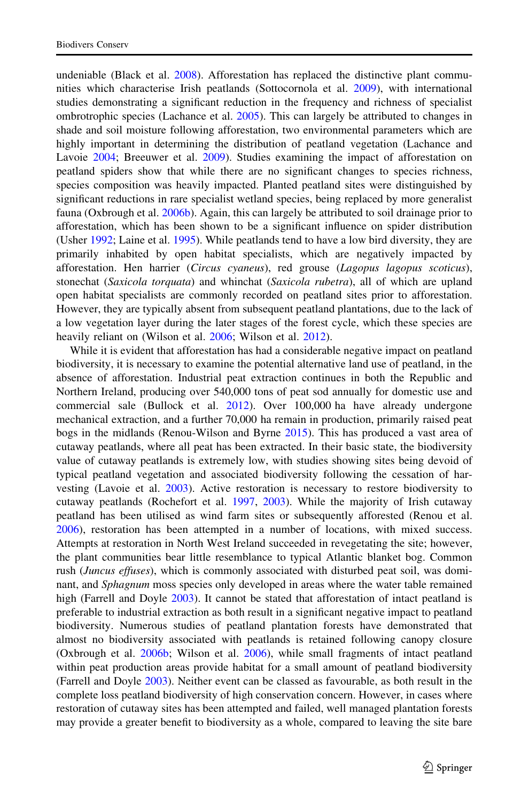undeniable (Black et al.  $2008$ ). Afforestation has replaced the distinctive plant communities which characterise Irish peatlands (Sottocornola et al. [2009\)](#page-20-0), with international studies demonstrating a significant reduction in the frequency and richness of specialist ombrotrophic species (Lachance et al. [2005\)](#page-19-0). This can largely be attributed to changes in shade and soil moisture following afforestation, two environmental parameters which are highly important in determining the distribution of peatland vegetation (Lachance and Lavoie [2004](#page-19-0); Breeuwer et al. [2009](#page-16-0)). Studies examining the impact of afforestation on peatland spiders show that while there are no significant changes to species richness, species composition was heavily impacted. Planted peatland sites were distinguished by significant reductions in rare specialist wetland species, being replaced by more generalist fauna (Oxbrough et al. [2006b](#page-19-0)). Again, this can largely be attributed to soil drainage prior to afforestation, which has been shown to be a significant influence on spider distribution (Usher [1992;](#page-21-0) Laine et al. [1995\)](#page-19-0). While peatlands tend to have a low bird diversity, they are primarily inhabited by open habitat specialists, which are negatively impacted by afforestation. Hen harrier (Circus cyaneus), red grouse (Lagopus lagopus scoticus), stonechat (Saxicola torquata) and whinchat (Saxicola rubetra), all of which are upland open habitat specialists are commonly recorded on peatland sites prior to afforestation. However, they are typically absent from subsequent peatland plantations, due to the lack of a low vegetation layer during the later stages of the forest cycle, which these species are heavily reliant on (Wilson et al. [2006](#page-21-0); Wilson et al. [2012\)](#page-21-0).

While it is evident that afforestation has had a considerable negative impact on peatland biodiversity, it is necessary to examine the potential alternative land use of peatland, in the absence of afforestation. Industrial peat extraction continues in both the Republic and Northern Ireland, producing over 540,000 tons of peat sod annually for domestic use and commercial sale (Bullock et al. [2012](#page-16-0)). Over 100,000 ha have already undergone mechanical extraction, and a further 70,000 ha remain in production, primarily raised peat bogs in the midlands (Renou-Wilson and Byrne [2015\)](#page-20-0). This has produced a vast area of cutaway peatlands, where all peat has been extracted. In their basic state, the biodiversity value of cutaway peatlands is extremely low, with studies showing sites being devoid of typical peatland vegetation and associated biodiversity following the cessation of harvesting (Lavoie et al. [2003\)](#page-19-0). Active restoration is necessary to restore biodiversity to cutaway peatlands (Rochefort et al. [1997,](#page-20-0) [2003](#page-20-0)). While the majority of Irish cutaway peatland has been utilised as wind farm sites or subsequently afforested (Renou et al. [2006\)](#page-20-0), restoration has been attempted in a number of locations, with mixed success. Attempts at restoration in North West Ireland succeeded in revegetating the site; however, the plant communities bear little resemblance to typical Atlantic blanket bog. Common rush (Juncus effuses), which is commonly associated with disturbed peat soil, was dominant, and Sphagnum moss species only developed in areas where the water table remained high (Farrell and Doyle [2003](#page-17-0)). It cannot be stated that afforestation of intact peatland is preferable to industrial extraction as both result in a significant negative impact to peatland biodiversity. Numerous studies of peatland plantation forests have demonstrated that almost no biodiversity associated with peatlands is retained following canopy closure (Oxbrough et al. [2006b](#page-19-0); Wilson et al. [2006\)](#page-21-0), while small fragments of intact peatland within peat production areas provide habitat for a small amount of peatland biodiversity (Farrell and Doyle [2003](#page-17-0)). Neither event can be classed as favourable, as both result in the complete loss peatland biodiversity of high conservation concern. However, in cases where restoration of cutaway sites has been attempted and failed, well managed plantation forests may provide a greater benefit to biodiversity as a whole, compared to leaving the site bare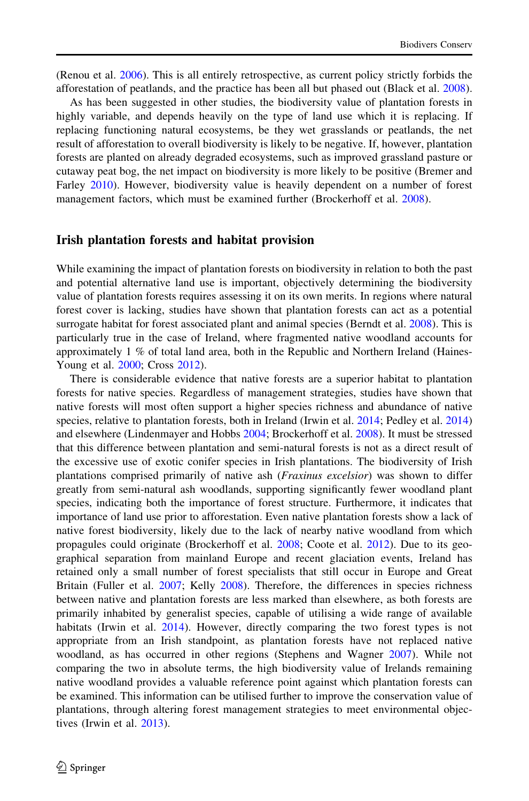(Renou et al. [2006](#page-20-0)). This is all entirely retrospective, as current policy strictly forbids the afforestation of peatlands, and the practice has been all but phased out (Black et al. [2008](#page-16-0)).

As has been suggested in other studies, the biodiversity value of plantation forests in highly variable, and depends heavily on the type of land use which it is replacing. If replacing functioning natural ecosystems, be they wet grasslands or peatlands, the net result of afforestation to overall biodiversity is likely to be negative. If, however, plantation forests are planted on already degraded ecosystems, such as improved grassland pasture or cutaway peat bog, the net impact on biodiversity is more likely to be positive (Bremer and Farley [2010\)](#page-16-0). However, biodiversity value is heavily dependent on a number of forest management factors, which must be examined further (Brockerhoff et al. [2008\)](#page-16-0).

#### Irish plantation forests and habitat provision

While examining the impact of plantation forests on biodiversity in relation to both the past and potential alternative land use is important, objectively determining the biodiversity value of plantation forests requires assessing it on its own merits. In regions where natural forest cover is lacking, studies have shown that plantation forests can act as a potential surrogate habitat for forest associated plant and animal species (Berndt et al. [2008](#page-16-0)). This is particularly true in the case of Ireland, where fragmented native woodland accounts for approximately 1 % of total land area, both in the Republic and Northern Ireland (Haines-Young et al. [2000](#page-18-0); Cross [2012](#page-17-0)).

There is considerable evidence that native forests are a superior habitat to plantation forests for native species. Regardless of management strategies, studies have shown that native forests will most often support a higher species richness and abundance of native species, relative to plantation forests, both in Ireland (Irwin et al. [2014;](#page-18-0) Pedley et al. [2014](#page-20-0)) and elsewhere (Lindenmayer and Hobbs [2004](#page-19-0); Brockerhoff et al. [2008\)](#page-16-0). It must be stressed that this difference between plantation and semi-natural forests is not as a direct result of the excessive use of exotic conifer species in Irish plantations. The biodiversity of Irish plantations comprised primarily of native ash (Fraxinus excelsior) was shown to differ greatly from semi-natural ash woodlands, supporting significantly fewer woodland plant species, indicating both the importance of forest structure. Furthermore, it indicates that importance of land use prior to afforestation. Even native plantation forests show a lack of native forest biodiversity, likely due to the lack of nearby native woodland from which propagules could originate (Brockerhoff et al. [2008](#page-16-0); Coote et al. [2012\)](#page-17-0). Due to its geographical separation from mainland Europe and recent glaciation events, Ireland has retained only a small number of forest specialists that still occur in Europe and Great Britain (Fuller et al. [2007](#page-18-0); Kelly [2008](#page-18-0)). Therefore, the differences in species richness between native and plantation forests are less marked than elsewhere, as both forests are primarily inhabited by generalist species, capable of utilising a wide range of available habitats (Irwin et al. [2014](#page-18-0)). However, directly comparing the two forest types is not appropriate from an Irish standpoint, as plantation forests have not replaced native woodland, as has occurred in other regions (Stephens and Wagner [2007](#page-20-0)). While not comparing the two in absolute terms, the high biodiversity value of Irelands remaining native woodland provides a valuable reference point against which plantation forests can be examined. This information can be utilised further to improve the conservation value of plantations, through altering forest management strategies to meet environmental objectives (Irwin et al. [2013](#page-18-0)).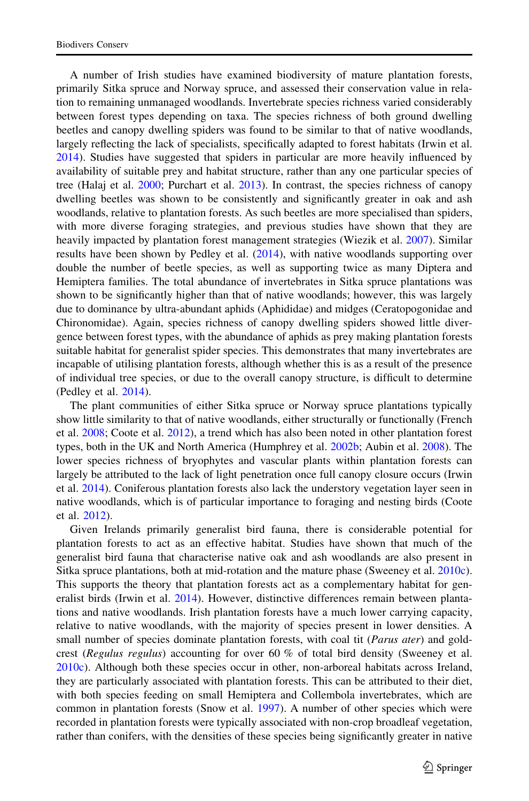A number of Irish studies have examined biodiversity of mature plantation forests, primarily Sitka spruce and Norway spruce, and assessed their conservation value in relation to remaining unmanaged woodlands. Invertebrate species richness varied considerably between forest types depending on taxa. The species richness of both ground dwelling beetles and canopy dwelling spiders was found to be similar to that of native woodlands, largely reflecting the lack of specialists, specifically adapted to forest habitats (Irwin et al. [2014\)](#page-18-0). Studies have suggested that spiders in particular are more heavily influenced by availability of suitable prey and habitat structure, rather than any one particular species of tree (Halaj et al. [2000;](#page-18-0) Purchart et al. [2013](#page-20-0)). In contrast, the species richness of canopy dwelling beetles was shown to be consistently and significantly greater in oak and ash woodlands, relative to plantation forests. As such beetles are more specialised than spiders, with more diverse foraging strategies, and previous studies have shown that they are heavily impacted by plantation forest management strategies (Wiezik et al. [2007](#page-21-0)). Similar results have been shown by Pedley et al. [\(2014](#page-20-0)), with native woodlands supporting over double the number of beetle species, as well as supporting twice as many Diptera and Hemiptera families. The total abundance of invertebrates in Sitka spruce plantations was shown to be significantly higher than that of native woodlands; however, this was largely due to dominance by ultra-abundant aphids (Aphididae) and midges (Ceratopogonidae and Chironomidae). Again, species richness of canopy dwelling spiders showed little divergence between forest types, with the abundance of aphids as prey making plantation forests suitable habitat for generalist spider species. This demonstrates that many invertebrates are incapable of utilising plantation forests, although whether this is as a result of the presence of individual tree species, or due to the overall canopy structure, is difficult to determine (Pedley et al. [2014](#page-20-0)).

The plant communities of either Sitka spruce or Norway spruce plantations typically show little similarity to that of native woodlands, either structurally or functionally (French et al. [2008](#page-18-0); Coote et al. [2012\)](#page-17-0), a trend which has also been noted in other plantation forest types, both in the UK and North America (Humphrey et al. [2002b](#page-18-0); Aubin et al. [2008\)](#page-16-0). The lower species richness of bryophytes and vascular plants within plantation forests can largely be attributed to the lack of light penetration once full canopy closure occurs (Irwin et al. [2014](#page-18-0)). Coniferous plantation forests also lack the understory vegetation layer seen in native woodlands, which is of particular importance to foraging and nesting birds (Coote et al. [2012](#page-17-0)).

Given Irelands primarily generalist bird fauna, there is considerable potential for plantation forests to act as an effective habitat. Studies have shown that much of the generalist bird fauna that characterise native oak and ash woodlands are also present in Sitka spruce plantations, both at mid-rotation and the mature phase (Sweeney et al. [2010c](#page-21-0)). This supports the theory that plantation forests act as a complementary habitat for generalist birds (Irwin et al. [2014](#page-18-0)). However, distinctive differences remain between plantations and native woodlands. Irish plantation forests have a much lower carrying capacity, relative to native woodlands, with the majority of species present in lower densities. A small number of species dominate plantation forests, with coal tit (Parus ater) and goldcrest (Regulus regulus) accounting for over 60 % of total bird density (Sweeney et al. [2010c\)](#page-21-0). Although both these species occur in other, non-arboreal habitats across Ireland, they are particularly associated with plantation forests. This can be attributed to their diet, with both species feeding on small Hemiptera and Collembola invertebrates, which are common in plantation forests (Snow et al. [1997\)](#page-20-0). A number of other species which were recorded in plantation forests were typically associated with non-crop broadleaf vegetation, rather than conifers, with the densities of these species being significantly greater in native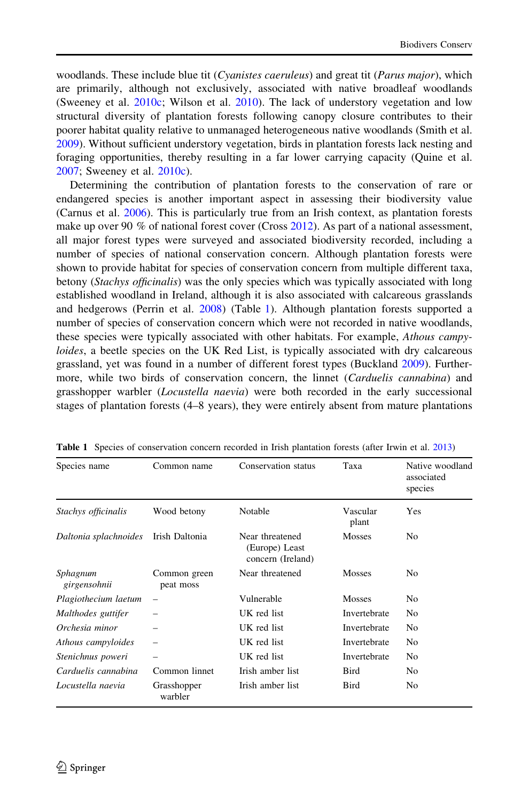woodlands. These include blue tit (Cyanistes caeruleus) and great tit (*Parus major*), which are primarily, although not exclusively, associated with native broadleaf woodlands (Sweeney et al. [2010c;](#page-21-0) Wilson et al. [2010\)](#page-21-0). The lack of understory vegetation and low structural diversity of plantation forests following canopy closure contributes to their poorer habitat quality relative to unmanaged heterogeneous native woodlands (Smith et al. [2009\)](#page-20-0). Without sufficient understory vegetation, birds in plantation forests lack nesting and foraging opportunities, thereby resulting in a far lower carrying capacity (Quine et al. [2007;](#page-20-0) Sweeney et al. [2010c](#page-21-0)).

Determining the contribution of plantation forests to the conservation of rare or endangered species is another important aspect in assessing their biodiversity value (Carnus et al. [2006\)](#page-17-0). This is particularly true from an Irish context, as plantation forests make up over 90 % of national forest cover (Cross [2012](#page-17-0)). As part of a national assessment, all major forest types were surveyed and associated biodiversity recorded, including a number of species of national conservation concern. Although plantation forests were shown to provide habitat for species of conservation concern from multiple different taxa, betony (Stachys officinalis) was the only species which was typically associated with long established woodland in Ireland, although it is also associated with calcareous grasslands and hedgerows (Perrin et al. [2008\)](#page-20-0) (Table 1). Although plantation forests supported a number of species of conservation concern which were not recorded in native woodlands, these species were typically associated with other habitats. For example, Athous campyloides, a beetle species on the UK Red List, is typically associated with dry calcareous grassland, yet was found in a number of different forest types (Buckland [2009\)](#page-16-0). Furthermore, while two birds of conservation concern, the linnet (Carduelis cannabina) and grasshopper warbler (Locustella naevia) were both recorded in the early successional stages of plantation forests (4–8 years), they were entirely absent from mature plantations

| Species name             | Common name               | Conservation status                                    | Taxa              | Native woodland<br>associated<br>species |
|--------------------------|---------------------------|--------------------------------------------------------|-------------------|------------------------------------------|
| Stachys officinalis      | Wood betony               | Notable                                                | Vascular<br>plant | Yes                                      |
| Daltonia splachnoides    | Irish Daltonia            | Near threatened<br>(Europe) Least<br>concern (Ireland) | <b>Mosses</b>     | No                                       |
| Sphagnum<br>girgensohnii | Common green<br>peat moss | Near threatened                                        | <b>Mosses</b>     | No                                       |
| Plagiothecium laetum     |                           | Vulnerable                                             | <b>Mosses</b>     | No.                                      |
| Malthodes guttifer       |                           | UK red list                                            | Invertebrate      | N <sub>0</sub>                           |
| Orchesia minor           |                           | UK red list                                            | Invertebrate      | N <sub>0</sub>                           |
| Athous campyloides       |                           | UK red list                                            | Invertebrate      | N <sub>0</sub>                           |
| Stenichnus poweri        |                           | UK red list                                            | Invertebrate      | N <sub>0</sub>                           |
| Carduelis cannabina      | Common linnet             | Irish amber list                                       | <b>Bird</b>       | No                                       |
| Locustella naevia        | Grasshopper<br>warbler    | Irish amber list                                       | Bird              | No                                       |

Table 1 Species of conservation concern recorded in Irish plantation forests (after Irwin et al. [2013\)](#page-18-0)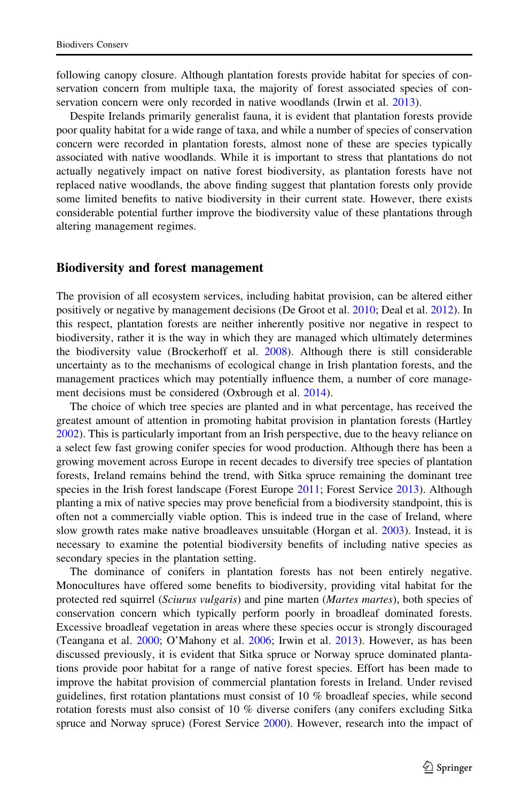following canopy closure. Although plantation forests provide habitat for species of conservation concern from multiple taxa, the majority of forest associated species of con-servation concern were only recorded in native woodlands (Irwin et al. [2013](#page-18-0)).

Despite Irelands primarily generalist fauna, it is evident that plantation forests provide poor quality habitat for a wide range of taxa, and while a number of species of conservation concern were recorded in plantation forests, almost none of these are species typically associated with native woodlands. While it is important to stress that plantations do not actually negatively impact on native forest biodiversity, as plantation forests have not replaced native woodlands, the above finding suggest that plantation forests only provide some limited benefits to native biodiversity in their current state. However, there exists considerable potential further improve the biodiversity value of these plantations through altering management regimes.

#### Biodiversity and forest management

The provision of all ecosystem services, including habitat provision, can be altered either positively or negative by management decisions (De Groot et al. [2010;](#page-17-0) Deal et al. [2012\)](#page-17-0). In this respect, plantation forests are neither inherently positive nor negative in respect to biodiversity, rather it is the way in which they are managed which ultimately determines the biodiversity value (Brockerhoff et al. [2008\)](#page-16-0). Although there is still considerable uncertainty as to the mechanisms of ecological change in Irish plantation forests, and the management practices which may potentially influence them, a number of core management decisions must be considered (Oxbrough et al. [2014](#page-19-0)).

The choice of which tree species are planted and in what percentage, has received the greatest amount of attention in promoting habitat provision in plantation forests (Hartley [2002\)](#page-18-0). This is particularly important from an Irish perspective, due to the heavy reliance on a select few fast growing conifer species for wood production. Although there has been a growing movement across Europe in recent decades to diversify tree species of plantation forests, Ireland remains behind the trend, with Sitka spruce remaining the dominant tree species in the Irish forest landscape (Forest Europe [2011;](#page-17-0) Forest Service [2013](#page-17-0)). Although planting a mix of native species may prove beneficial from a biodiversity standpoint, this is often not a commercially viable option. This is indeed true in the case of Ireland, where slow growth rates make native broadleaves unsuitable (Horgan et al. [2003](#page-18-0)). Instead, it is necessary to examine the potential biodiversity benefits of including native species as secondary species in the plantation setting.

The dominance of conifers in plantation forests has not been entirely negative. Monocultures have offered some benefits to biodiversity, providing vital habitat for the protected red squirrel (Sciurus vulgaris) and pine marten (Martes martes), both species of conservation concern which typically perform poorly in broadleaf dominated forests. Excessive broadleaf vegetation in areas where these species occur is strongly discouraged (Teangana et al. [2000](#page-21-0); O'Mahony et al. [2006;](#page-19-0) Irwin et al. [2013\)](#page-18-0). However, as has been discussed previously, it is evident that Sitka spruce or Norway spruce dominated plantations provide poor habitat for a range of native forest species. Effort has been made to improve the habitat provision of commercial plantation forests in Ireland. Under revised guidelines, first rotation plantations must consist of 10 % broadleaf species, while second rotation forests must also consist of 10 % diverse conifers (any conifers excluding Sitka spruce and Norway spruce) (Forest Service [2000\)](#page-17-0). However, research into the impact of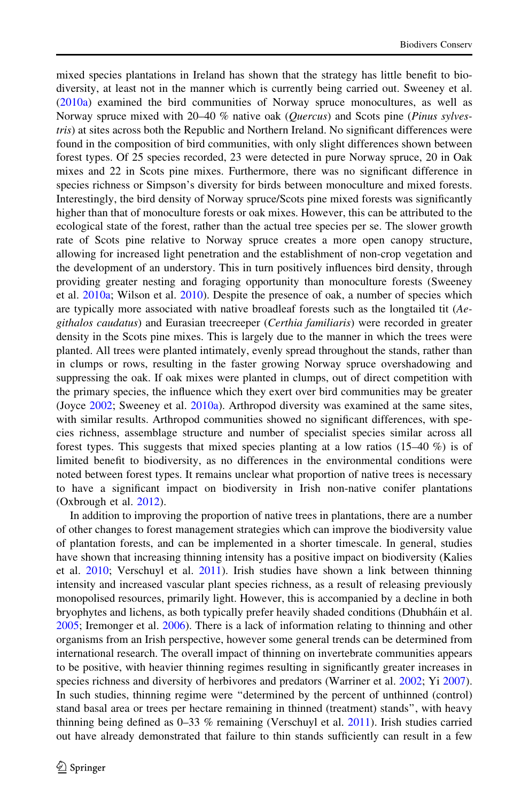mixed species plantations in Ireland has shown that the strategy has little benefit to biodiversity, at least not in the manner which is currently being carried out. Sweeney et al. ([2010a](#page-21-0)) examined the bird communities of Norway spruce monocultures, as well as Norway spruce mixed with 20–40 % native oak (*Quercus*) and Scots pine (*Pinus sylves*tris) at sites across both the Republic and Northern Ireland. No significant differences were found in the composition of bird communities, with only slight differences shown between forest types. Of 25 species recorded, 23 were detected in pure Norway spruce, 20 in Oak mixes and 22 in Scots pine mixes. Furthermore, there was no significant difference in species richness or Simpson's diversity for birds between monoculture and mixed forests. Interestingly, the bird density of Norway spruce/Scots pine mixed forests was significantly higher than that of monoculture forests or oak mixes. However, this can be attributed to the ecological state of the forest, rather than the actual tree species per se. The slower growth rate of Scots pine relative to Norway spruce creates a more open canopy structure, allowing for increased light penetration and the establishment of non-crop vegetation and the development of an understory. This in turn positively influences bird density, through providing greater nesting and foraging opportunity than monoculture forests (Sweeney et al. [2010a;](#page-21-0) Wilson et al. [2010\)](#page-21-0). Despite the presence of oak, a number of species which are typically more associated with native broadleaf forests such as the longtailed tit (Aegithalos caudatus) and Eurasian treecreeper (Certhia familiaris) were recorded in greater density in the Scots pine mixes. This is largely due to the manner in which the trees were planted. All trees were planted intimately, evenly spread throughout the stands, rather than in clumps or rows, resulting in the faster growing Norway spruce overshadowing and suppressing the oak. If oak mixes were planted in clumps, out of direct competition with the primary species, the influence which they exert over bird communities may be greater (Joyce [2002](#page-18-0); Sweeney et al. [2010a\)](#page-21-0). Arthropod diversity was examined at the same sites, with similar results. Arthropod communities showed no significant differences, with species richness, assemblage structure and number of specialist species similar across all forest types. This suggests that mixed species planting at a low ratios  $(15-40\%)$  is of limited benefit to biodiversity, as no differences in the environmental conditions were noted between forest types. It remains unclear what proportion of native trees is necessary to have a significant impact on biodiversity in Irish non-native conifer plantations (Oxbrough et al. [2012\)](#page-19-0).

In addition to improving the proportion of native trees in plantations, there are a number of other changes to forest management strategies which can improve the biodiversity value of plantation forests, and can be implemented in a shorter timescale. In general, studies have shown that increasing thinning intensity has a positive impact on biodiversity (Kalies et al. [2010](#page-18-0); Verschuyl et al. [2011](#page-21-0)). Irish studies have shown a link between thinning intensity and increased vascular plant species richness, as a result of releasing previously monopolised resources, primarily light. However, this is accompanied by a decline in both bryophytes and lichens, as both typically prefer heavily shaded conditions (Dhubháin et al. [2005;](#page-17-0) Iremonger et al. [2006](#page-18-0)). There is a lack of information relating to thinning and other organisms from an Irish perspective, however some general trends can be determined from international research. The overall impact of thinning on invertebrate communities appears to be positive, with heavier thinning regimes resulting in significantly greater increases in species richness and diversity of herbivores and predators (Warriner et al. [2002;](#page-21-0) Yi [2007](#page-21-0)). In such studies, thinning regime were ''determined by the percent of unthinned (control) stand basal area or trees per hectare remaining in thinned (treatment) stands'', with heavy thinning being defined as  $0-33$  % remaining (Verschuyl et al. [2011\)](#page-21-0). Irish studies carried out have already demonstrated that failure to thin stands sufficiently can result in a few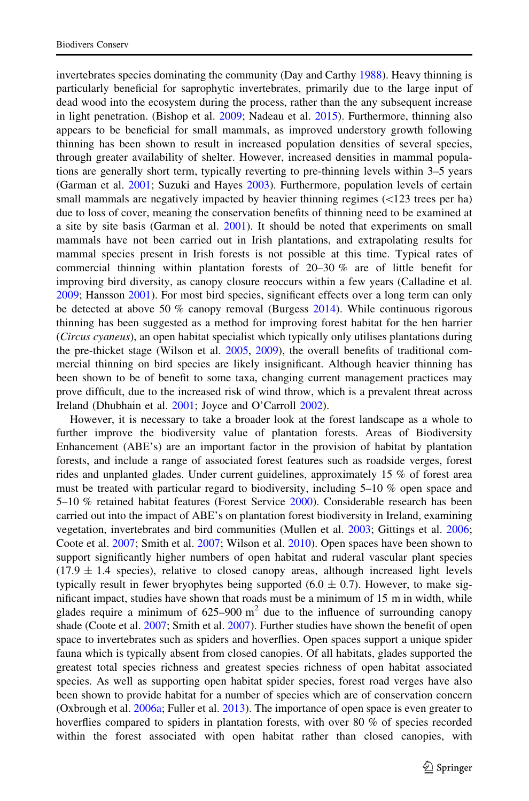invertebrates species dominating the community (Day and Carthy [1988](#page-17-0)). Heavy thinning is particularly beneficial for saprophytic invertebrates, primarily due to the large input of dead wood into the ecosystem during the process, rather than the any subsequent increase in light penetration. (Bishop et al. [2009](#page-16-0); Nadeau et al. [2015\)](#page-19-0). Furthermore, thinning also appears to be beneficial for small mammals, as improved understory growth following thinning has been shown to result in increased population densities of several species, through greater availability of shelter. However, increased densities in mammal populations are generally short term, typically reverting to pre-thinning levels within 3–5 years (Garman et al. [2001;](#page-18-0) Suzuki and Hayes [2003](#page-21-0)). Furthermore, population levels of certain small mammals are negatively impacted by heavier thinning regimes  $\left($  <123 trees per ha) due to loss of cover, meaning the conservation benefits of thinning need to be examined at a site by site basis (Garman et al. [2001\)](#page-18-0). It should be noted that experiments on small mammals have not been carried out in Irish plantations, and extrapolating results for mammal species present in Irish forests is not possible at this time. Typical rates of commercial thinning within plantation forests of 20–30 % are of little benefit for improving bird diversity, as canopy closure reoccurs within a few years (Calladine et al. [2009;](#page-17-0) Hansson [2001\)](#page-18-0). For most bird species, significant effects over a long term can only be detected at above 50 % canopy removal (Burgess [2014](#page-16-0)). While continuous rigorous thinning has been suggested as a method for improving forest habitat for the hen harrier (Circus cyaneus), an open habitat specialist which typically only utilises plantations during the pre-thicket stage (Wilson et al. [2005](#page-21-0), [2009](#page-21-0)), the overall benefits of traditional commercial thinning on bird species are likely insignificant. Although heavier thinning has been shown to be of benefit to some taxa, changing current management practices may prove difficult, due to the increased risk of wind throw, which is a prevalent threat across Ireland (Dhubhain et al. [2001;](#page-17-0) Joyce and O'Carroll [2002](#page-18-0)).

However, it is necessary to take a broader look at the forest landscape as a whole to further improve the biodiversity value of plantation forests. Areas of Biodiversity Enhancement (ABE's) are an important factor in the provision of habitat by plantation forests, and include a range of associated forest features such as roadside verges, forest rides and unplanted glades. Under current guidelines, approximately 15 % of forest area must be treated with particular regard to biodiversity, including 5–10 % open space and 5–10 % retained habitat features (Forest Service [2000\)](#page-17-0). Considerable research has been carried out into the impact of ABE's on plantation forest biodiversity in Ireland, examining vegetation, invertebrates and bird communities (Mullen et al. [2003](#page-19-0); Gittings et al. [2006;](#page-18-0) Coote et al. [2007](#page-17-0); Smith et al. [2007](#page-20-0); Wilson et al. [2010](#page-21-0)). Open spaces have been shown to support significantly higher numbers of open habitat and ruderal vascular plant species  $(17.9 \pm 1.4$  species), relative to closed canopy areas, although increased light levels typically result in fewer bryophytes being supported  $(6.0 \pm 0.7)$ . However, to make significant impact, studies have shown that roads must be a minimum of 15 m in width, while glades require a minimum of  $625-900$  m<sup>2</sup> due to the influence of surrounding canopy shade (Coote et al. [2007;](#page-17-0) Smith et al. [2007](#page-20-0)). Further studies have shown the benefit of open space to invertebrates such as spiders and hoverflies. Open spaces support a unique spider fauna which is typically absent from closed canopies. Of all habitats, glades supported the greatest total species richness and greatest species richness of open habitat associated species. As well as supporting open habitat spider species, forest road verges have also been shown to provide habitat for a number of species which are of conservation concern (Oxbrough et al. [2006a](#page-19-0); Fuller et al. [2013\)](#page-18-0). The importance of open space is even greater to hoverflies compared to spiders in plantation forests, with over 80 % of species recorded within the forest associated with open habitat rather than closed canopies, with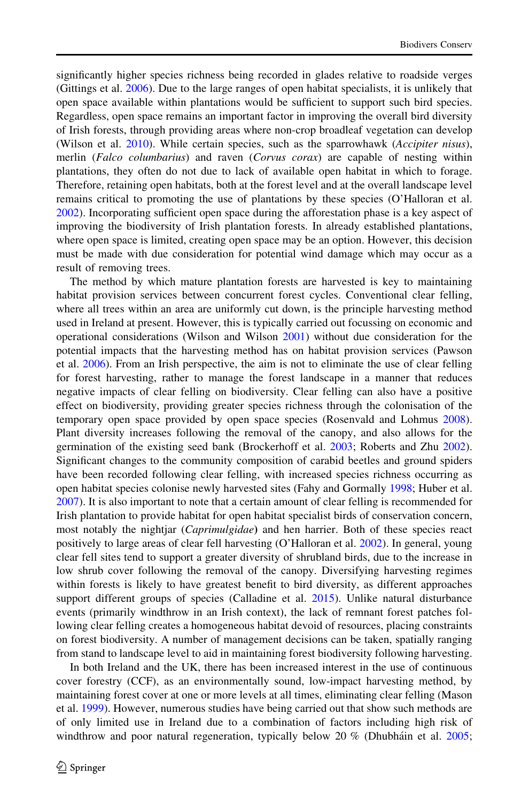significantly higher species richness being recorded in glades relative to roadside verges (Gittings et al. [2006](#page-18-0)). Due to the large ranges of open habitat specialists, it is unlikely that open space available within plantations would be sufficient to support such bird species. Regardless, open space remains an important factor in improving the overall bird diversity of Irish forests, through providing areas where non-crop broadleaf vegetation can develop (Wilson et al. [2010\)](#page-21-0). While certain species, such as the sparrowhawk (*Accipiter nisus*), merlin (Falco columbarius) and raven (Corvus corax) are capable of nesting within plantations, they often do not due to lack of available open habitat in which to forage. Therefore, retaining open habitats, both at the forest level and at the overall landscape level remains critical to promoting the use of plantations by these species (O'Halloran et al. [2002\)](#page-19-0). Incorporating sufficient open space during the afforestation phase is a key aspect of improving the biodiversity of Irish plantation forests. In already established plantations, where open space is limited, creating open space may be an option. However, this decision must be made with due consideration for potential wind damage which may occur as a result of removing trees.

The method by which mature plantation forests are harvested is key to maintaining habitat provision services between concurrent forest cycles. Conventional clear felling, where all trees within an area are uniformly cut down, is the principle harvesting method used in Ireland at present. However, this is typically carried out focussing on economic and operational considerations (Wilson and Wilson [2001\)](#page-21-0) without due consideration for the potential impacts that the harvesting method has on habitat provision services (Pawson et al. [2006\)](#page-19-0). From an Irish perspective, the aim is not to eliminate the use of clear felling for forest harvesting, rather to manage the forest landscape in a manner that reduces negative impacts of clear felling on biodiversity. Clear felling can also have a positive effect on biodiversity, providing greater species richness through the colonisation of the temporary open space provided by open space species (Rosenvald and Lohmus [2008](#page-20-0)). Plant diversity increases following the removal of the canopy, and also allows for the germination of the existing seed bank (Brockerhoff et al. [2003](#page-16-0); Roberts and Zhu [2002](#page-20-0)). Significant changes to the community composition of carabid beetles and ground spiders have been recorded following clear felling, with increased species richness occurring as open habitat species colonise newly harvested sites (Fahy and Gormally [1998;](#page-17-0) Huber et al. [2007\)](#page-18-0). It is also important to note that a certain amount of clear felling is recommended for Irish plantation to provide habitat for open habitat specialist birds of conservation concern, most notably the nightjar (*Caprimulgidae*) and hen harrier. Both of these species react positively to large areas of clear fell harvesting (O'Halloran et al. [2002\)](#page-19-0). In general, young clear fell sites tend to support a greater diversity of shrubland birds, due to the increase in low shrub cover following the removal of the canopy. Diversifying harvesting regimes within forests is likely to have greatest benefit to bird diversity, as different approaches support different groups of species (Calladine et al. [2015](#page-17-0)). Unlike natural disturbance events (primarily windthrow in an Irish context), the lack of remnant forest patches following clear felling creates a homogeneous habitat devoid of resources, placing constraints on forest biodiversity. A number of management decisions can be taken, spatially ranging from stand to landscape level to aid in maintaining forest biodiversity following harvesting.

In both Ireland and the UK, there has been increased interest in the use of continuous cover forestry (CCF), as an environmentally sound, low-impact harvesting method, by maintaining forest cover at one or more levels at all times, eliminating clear felling (Mason et al. [1999](#page-19-0)). However, numerous studies have being carried out that show such methods are of only limited use in Ireland due to a combination of factors including high risk of windthrow and poor natural regeneration, typically below 20  $%$  (Dhubháin et al. [2005;](#page-17-0)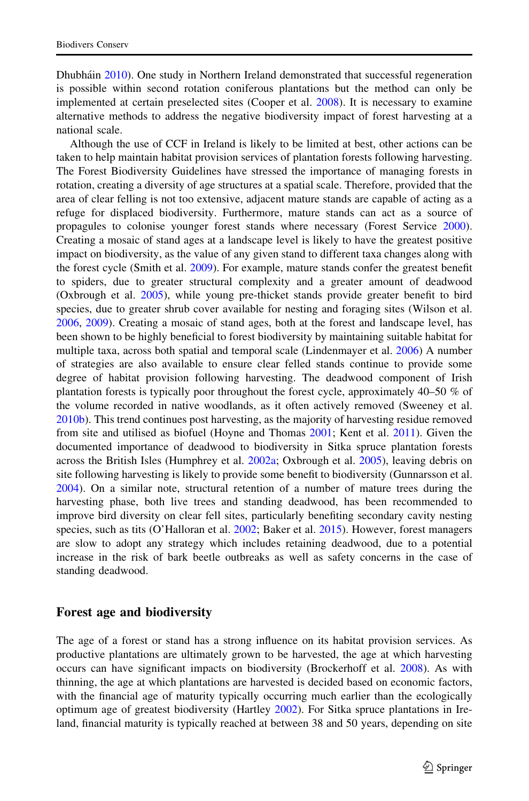Dhubháin [2010\)](#page-17-0). One study in Northern Ireland demonstrated that successful regeneration is possible within second rotation coniferous plantations but the method can only be implemented at certain preselected sites (Cooper et al. [2008\)](#page-17-0). It is necessary to examine alternative methods to address the negative biodiversity impact of forest harvesting at a national scale.

Although the use of CCF in Ireland is likely to be limited at best, other actions can be taken to help maintain habitat provision services of plantation forests following harvesting. The Forest Biodiversity Guidelines have stressed the importance of managing forests in rotation, creating a diversity of age structures at a spatial scale. Therefore, provided that the area of clear felling is not too extensive, adjacent mature stands are capable of acting as a refuge for displaced biodiversity. Furthermore, mature stands can act as a source of propagules to colonise younger forest stands where necessary (Forest Service [2000](#page-17-0)). Creating a mosaic of stand ages at a landscape level is likely to have the greatest positive impact on biodiversity, as the value of any given stand to different taxa changes along with the forest cycle (Smith et al. [2009\)](#page-20-0). For example, mature stands confer the greatest benefit to spiders, due to greater structural complexity and a greater amount of deadwood (Oxbrough et al. [2005\)](#page-19-0), while young pre-thicket stands provide greater benefit to bird species, due to greater shrub cover available for nesting and foraging sites (Wilson et al. [2006,](#page-21-0) [2009](#page-21-0)). Creating a mosaic of stand ages, both at the forest and landscape level, has been shown to be highly beneficial to forest biodiversity by maintaining suitable habitat for multiple taxa, across both spatial and temporal scale (Lindenmayer et al. [2006](#page-19-0)) A number of strategies are also available to ensure clear felled stands continue to provide some degree of habitat provision following harvesting. The deadwood component of Irish plantation forests is typically poor throughout the forest cycle, approximately 40–50 % of the volume recorded in native woodlands, as it often actively removed (Sweeney et al. [2010b](#page-21-0)). This trend continues post harvesting, as the majority of harvesting residue removed from site and utilised as biofuel (Hoyne and Thomas [2001](#page-18-0); Kent et al. [2011\)](#page-19-0). Given the documented importance of deadwood to biodiversity in Sitka spruce plantation forests across the British Isles (Humphrey et al. [2002a](#page-18-0); Oxbrough et al. [2005](#page-19-0)), leaving debris on site following harvesting is likely to provide some benefit to biodiversity (Gunnarsson et al. [2004\)](#page-18-0). On a similar note, structural retention of a number of mature trees during the harvesting phase, both live trees and standing deadwood, has been recommended to improve bird diversity on clear fell sites, particularly benefiting secondary cavity nesting species, such as tits (O'Halloran et al. [2002](#page-19-0); Baker et al. [2015](#page-16-0)). However, forest managers are slow to adopt any strategy which includes retaining deadwood, due to a potential increase in the risk of bark beetle outbreaks as well as safety concerns in the case of standing deadwood.

### Forest age and biodiversity

The age of a forest or stand has a strong influence on its habitat provision services. As productive plantations are ultimately grown to be harvested, the age at which harvesting occurs can have significant impacts on biodiversity (Brockerhoff et al. [2008\)](#page-16-0). As with thinning, the age at which plantations are harvested is decided based on economic factors, with the financial age of maturity typically occurring much earlier than the ecologically optimum age of greatest biodiversity (Hartley [2002](#page-18-0)). For Sitka spruce plantations in Ireland, financial maturity is typically reached at between 38 and 50 years, depending on site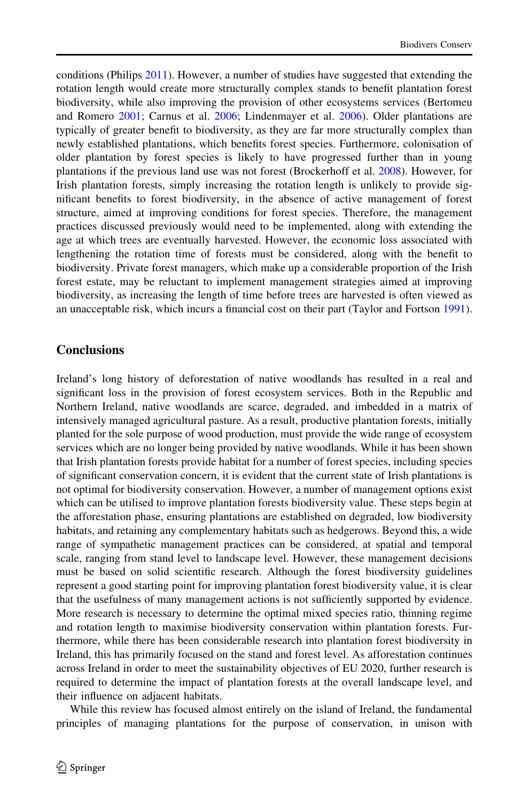conditions (Philips [2011\)](#page-20-0). However, a number of studies have suggested that extending the rotation length would create more structurally complex stands to benefit plantation forest biodiversity, while also improving the provision of other ecosystems services (Bertomeu and Romero [2001;](#page-16-0) Carnus et al. [2006](#page-17-0); Lindenmayer et al. [2006\)](#page-19-0). Older plantations are typically of greater benefit to biodiversity, as they are far more structurally complex than newly established plantations, which benefits forest species. Furthermore, colonisation of older plantation by forest species is likely to have progressed further than in young plantations if the previous land use was not forest (Brockerhoff et al. [2008](#page-16-0)). However, for Irish plantation forests, simply increasing the rotation length is unlikely to provide significant benefits to forest biodiversity, in the absence of active management of forest structure, aimed at improving conditions for forest species. Therefore, the management practices discussed previously would need to be implemented, along with extending the age at which trees are eventually harvested. However, the economic loss associated with lengthening the rotation time of forests must be considered, along with the benefit to biodiversity. Private forest managers, which make up a considerable proportion of the Irish forest estate, may be reluctant to implement management strategies aimed at improving biodiversity, as increasing the length of time before trees are harvested is often viewed as an unacceptable risk, which incurs a financial cost on their part (Taylor and Fortson [1991](#page-21-0)).

## **Conclusions**

Ireland's long history of deforestation of native woodlands has resulted in a real and significant loss in the provision of forest ecosystem services. Both in the Republic and Northern Ireland, native woodlands are scarce, degraded, and imbedded in a matrix of intensively managed agricultural pasture. As a result, productive plantation forests, initially planted for the sole purpose of wood production, must provide the wide range of ecosystem services which are no longer being provided by native woodlands. While it has been shown that Irish plantation forests provide habitat for a number of forest species, including species of significant conservation concern, it is evident that the current state of Irish plantations is not optimal for biodiversity conservation. However, a number of management options exist which can be utilised to improve plantation forests biodiversity value. These steps begin at the afforestation phase, ensuring plantations are established on degraded, low biodiversity habitats, and retaining any complementary habitats such as hedgerows. Beyond this, a wide range of sympathetic management practices can be considered, at spatial and temporal scale, ranging from stand level to landscape level. However, these management decisions must be based on solid scientific research. Although the forest biodiversity guidelines represent a good starting point for improving plantation forest biodiversity value, it is clear that the usefulness of many management actions is not sufficiently supported by evidence. More research is necessary to determine the optimal mixed species ratio, thinning regime and rotation length to maximise biodiversity conservation within plantation forests. Furthermore, while there has been considerable research into plantation forest biodiversity in Ireland, this has primarily focused on the stand and forest level. As afforestation continues across Ireland in order to meet the sustainability objectives of EU 2020, further research is required to determine the impact of plantation forests at the overall landscape level, and their influence on adjacent habitats.

While this review has focused almost entirely on the island of Ireland, the fundamental principles of managing plantations for the purpose of conservation, in unison with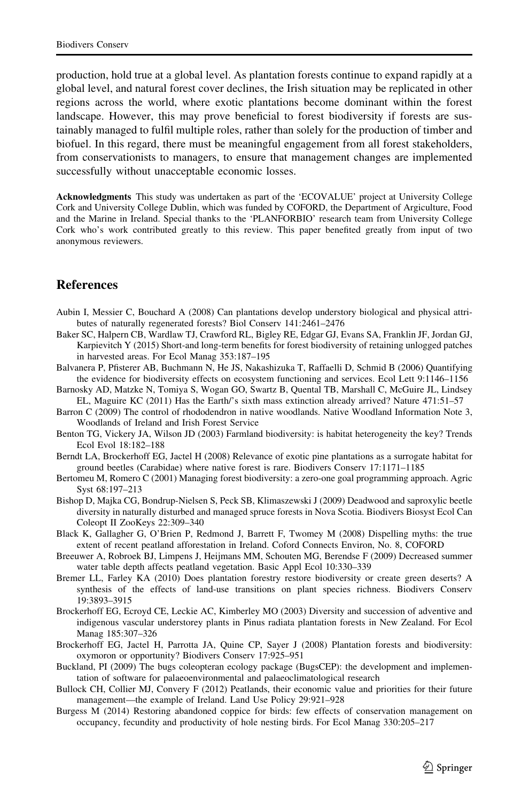<span id="page-16-0"></span>production, hold true at a global level. As plantation forests continue to expand rapidly at a global level, and natural forest cover declines, the Irish situation may be replicated in other regions across the world, where exotic plantations become dominant within the forest landscape. However, this may prove beneficial to forest biodiversity if forests are sustainably managed to fulfil multiple roles, rather than solely for the production of timber and biofuel. In this regard, there must be meaningful engagement from all forest stakeholders, from conservationists to managers, to ensure that management changes are implemented successfully without unacceptable economic losses.

Acknowledgments This study was undertaken as part of the 'ECOVALUE' project at University College Cork and University College Dublin, which was funded by COFORD, the Department of Argiculture, Food and the Marine in Ireland. Special thanks to the 'PLANFORBIO' research team from University College Cork who's work contributed greatly to this review. This paper benefited greatly from input of two anonymous reviewers.

## References

- Aubin I, Messier C, Bouchard A (2008) Can plantations develop understory biological and physical attributes of naturally regenerated forests? Biol Conserv 141:2461–2476
- Baker SC, Halpern CB, Wardlaw TJ, Crawford RL, Bigley RE, Edgar GJ, Evans SA, Franklin JF, Jordan GJ, Karpievitch Y (2015) Short-and long-term benefits for forest biodiversity of retaining unlogged patches in harvested areas. For Ecol Manag 353:187–195
- Balvanera P, Pfisterer AB, Buchmann N, He JS, Nakashizuka T, Raffaelli D, Schmid B (2006) Quantifying the evidence for biodiversity effects on ecosystem functioning and services. Ecol Lett 9:1146–1156
- Barnosky AD, Matzke N, Tomiya S, Wogan GO, Swartz B, Quental TB, Marshall C, McGuire JL, Lindsey EL, Maguire KC (2011) Has the Earth/'s sixth mass extinction already arrived? Nature 471:51–57
- Barron C (2009) The control of rhododendron in native woodlands. Native Woodland Information Note 3, Woodlands of Ireland and Irish Forest Service
- Benton TG, Vickery JA, Wilson JD (2003) Farmland biodiversity: is habitat heterogeneity the key? Trends Ecol Evol 18:182–188
- Berndt LA, Brockerhoff EG, Jactel H (2008) Relevance of exotic pine plantations as a surrogate habitat for ground beetles (Carabidae) where native forest is rare. Biodivers Conserv 17:1171–1185
- Bertomeu M, Romero C (2001) Managing forest biodiversity: a zero-one goal programming approach. Agric Syst 68:197–213
- Bishop D, Majka CG, Bondrup-Nielsen S, Peck SB, Klimaszewski J (2009) Deadwood and saproxylic beetle diversity in naturally disturbed and managed spruce forests in Nova Scotia. Biodivers Biosyst Ecol Can Coleopt II ZooKeys 22:309–340
- Black K, Gallagher G, O'Brien P, Redmond J, Barrett F, Twomey M (2008) Dispelling myths: the true extent of recent peatland afforestation in Ireland. Coford Connects Environ, No. 8, COFORD
- Breeuwer A, Robroek BJ, Limpens J, Heijmans MM, Schouten MG, Berendse F (2009) Decreased summer water table depth affects peatland vegetation. Basic Appl Ecol 10:330–339
- Bremer LL, Farley KA (2010) Does plantation forestry restore biodiversity or create green deserts? A synthesis of the effects of land-use transitions on plant species richness. Biodivers Conserv 19:3893–3915
- Brockerhoff EG, Ecroyd CE, Leckie AC, Kimberley MO (2003) Diversity and succession of adventive and indigenous vascular understorey plants in Pinus radiata plantation forests in New Zealand. For Ecol Manag 185:307–326
- Brockerhoff EG, Jactel H, Parrotta JA, Quine CP, Sayer J (2008) Plantation forests and biodiversity: oxymoron or opportunity? Biodivers Conserv 17:925–951
- Buckland, PI (2009) The bugs coleopteran ecology package (BugsCEP): the development and implementation of software for palaeoenvironmental and palaeoclimatological research
- Bullock CH, Collier MJ, Convery F (2012) Peatlands, their economic value and priorities for their future management—the example of Ireland. Land Use Policy 29:921–928
- Burgess M (2014) Restoring abandoned coppice for birds: few effects of conservation management on occupancy, fecundity and productivity of hole nesting birds. For Ecol Manag 330:205–217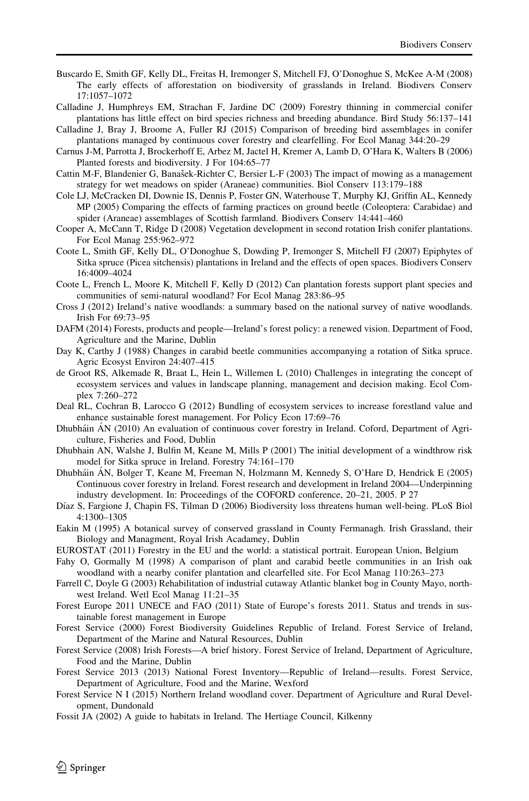- <span id="page-17-0"></span>Buscardo E, Smith GF, Kelly DL, Freitas H, Iremonger S, Mitchell FJ, O'Donoghue S, McKee A-M (2008) The early effects of afforestation on biodiversity of grasslands in Ireland. Biodivers Conserv 17:1057–1072
- Calladine J, Humphreys EM, Strachan F, Jardine DC (2009) Forestry thinning in commercial conifer plantations has little effect on bird species richness and breeding abundance. Bird Study 56:137–141
- Calladine J, Bray J, Broome A, Fuller RJ (2015) Comparison of breeding bird assemblages in conifer plantations managed by continuous cover forestry and clearfelling. For Ecol Manag 344:20–29
- Carnus J-M, Parrotta J, Brockerhoff E, Arbez M, Jactel H, Kremer A, Lamb D, O'Hara K, Walters B (2006) Planted forests and biodiversity. J For 104:65–77
- Cattin M-F, Blandenier G, Banašek-Richter C, Bersier L-F (2003) The impact of mowing as a management strategy for wet meadows on spider (Araneae) communities. Biol Conserv 113:179–188
- Cole LJ, McCracken DI, Downie IS, Dennis P, Foster GN, Waterhouse T, Murphy KJ, Griffin AL, Kennedy MP (2005) Comparing the effects of farming practices on ground beetle (Coleoptera: Carabidae) and spider (Araneae) assemblages of Scottish farmland. Biodivers Conserv 14:441–460
- Cooper A, McCann T, Ridge D (2008) Vegetation development in second rotation Irish conifer plantations. For Ecol Manag 255:962–972
- Coote L, Smith GF, Kelly DL, O'Donoghue S, Dowding P, Iremonger S, Mitchell FJ (2007) Epiphytes of Sitka spruce (Picea sitchensis) plantations in Ireland and the effects of open spaces. Biodivers Conserv 16:4009–4024
- Coote L, French L, Moore K, Mitchell F, Kelly D (2012) Can plantation forests support plant species and communities of semi-natural woodland? For Ecol Manag 283:86–95
- Cross J (2012) Ireland's native woodlands: a summary based on the national survey of native woodlands. Irish For 69:73–95
- DAFM (2014) Forests, products and people—Ireland's forest policy: a renewed vision. Department of Food, Agriculture and the Marine, Dublin
- Day K, Carthy J (1988) Changes in carabid beetle communities accompanying a rotation of Sitka spruce. Agric Ecosyst Environ 24:407–415
- de Groot RS, Alkemade R, Braat L, Hein L, Willemen L (2010) Challenges in integrating the concept of ecosystem services and values in landscape planning, management and decision making. Ecol Complex 7:260–272
- Deal RL, Cochran B, Larocco G (2012) Bundling of ecosystem services to increase forestland value and enhance sustainable forest management. For Policy Econ 17:69–76
- Dhubháin ÁN (2010) An evaluation of continuous cover forestry in Ireland. Coford, Department of Agriculture, Fisheries and Food, Dublin
- Dhubhain AN, Walshe J, Bulfin M, Keane M, Mills P (2001) The initial development of a windthrow risk model for Sitka spruce in Ireland. Forestry 74:161–170
- Dhubháin ÁN, Bolger T, Keane M, Freeman N, Holzmann M, Kennedy S, O'Hare D, Hendrick E (2005) Continuous cover forestry in Ireland. Forest research and development in Ireland 2004—Underpinning industry development. In: Proceedings of the COFORD conference, 20–21, 2005. P 27
- Díaz S, Fargione J, Chapin FS, Tilman D (2006) Biodiversity loss threatens human well-being. PLoS Biol 4:1300–1305
- Eakin M (1995) A botanical survey of conserved grassland in County Fermanagh. Irish Grassland, their Biology and Managment, Royal Irish Acadamey, Dublin
- EUROSTAT (2011) Forestry in the EU and the world: a statistical portrait. European Union, Belgium
- Fahy O, Gormally M (1998) A comparison of plant and carabid beetle communities in an Irish oak woodland with a nearby conifer plantation and clearfelled site. For Ecol Manag 110:263–273
- Farrell C, Doyle G (2003) Rehabilitation of industrial cutaway Atlantic blanket bog in County Mayo, northwest Ireland. Wetl Ecol Manag 11:21–35
- Forest Europe 2011 UNECE and FAO (2011) State of Europe's forests 2011. Status and trends in sustainable forest management in Europe
- Forest Service (2000) Forest Biodiversity Guidelines Republic of Ireland. Forest Service of Ireland, Department of the Marine and Natural Resources, Dublin
- Forest Service (2008) Irish Forests—A brief history. Forest Service of Ireland, Department of Agriculture, Food and the Marine, Dublin
- Forest Service 2013 (2013) National Forest Inventory—Republic of Ireland—results. Forest Service, Department of Agriculture, Food and the Marine, Wexford
- Forest Service N I (2015) Northern Ireland woodland cover. Department of Agriculture and Rural Development, Dundonald
- Fossit JA (2002) A guide to habitats in Ireland. The Hertiage Council, Kilkenny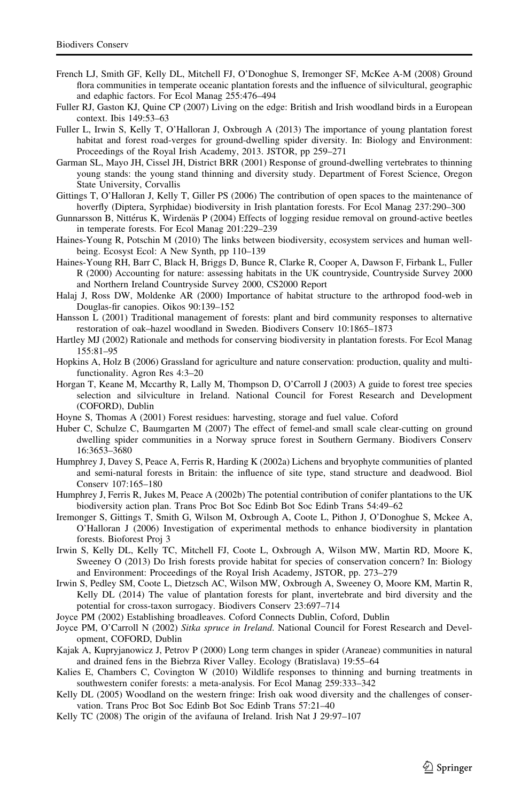- <span id="page-18-0"></span>French LJ, Smith GF, Kelly DL, Mitchell FJ, O'Donoghue S, Iremonger SF, McKee A-M (2008) Ground flora communities in temperate oceanic plantation forests and the influence of silvicultural, geographic and edaphic factors. For Ecol Manag 255:476–494
- Fuller RJ, Gaston KJ, Quine CP (2007) Living on the edge: British and Irish woodland birds in a European context. Ibis 149:53–63
- Fuller L, Irwin S, Kelly T, O'Halloran J, Oxbrough A (2013) The importance of young plantation forest habitat and forest road-verges for ground-dwelling spider diversity. In: Biology and Environment: Proceedings of the Royal Irish Academy, 2013. JSTOR, pp 259–271
- Garman SL, Mayo JH, Cissel JH, District BRR (2001) Response of ground-dwelling vertebrates to thinning young stands: the young stand thinning and diversity study. Department of Forest Science, Oregon State University, Corvallis
- Gittings T, O'Halloran J, Kelly T, Giller PS (2006) The contribution of open spaces to the maintenance of hoverfly (Diptera, Syrphidae) biodiversity in Irish plantation forests. For Ecol Manag 237:290–300
- Gunnarsson B, Nittérus K, Wirdenäs P (2004) Effects of logging residue removal on ground-active beetles in temperate forests. For Ecol Manag 201:229–239
- Haines-Young R, Potschin M (2010) The links between biodiversity, ecosystem services and human wellbeing. Ecosyst Ecol: A New Synth, pp 110–139
- Haines-Young RH, Barr C, Black H, Briggs D, Bunce R, Clarke R, Cooper A, Dawson F, Firbank L, Fuller R (2000) Accounting for nature: assessing habitats in the UK countryside, Countryside Survey 2000 and Northern Ireland Countryside Survey 2000, CS2000 Report
- Halaj J, Ross DW, Moldenke AR (2000) Importance of habitat structure to the arthropod food-web in Douglas-fir canopies. Oikos 90:139–152
- Hansson L (2001) Traditional management of forests: plant and bird community responses to alternative restoration of oak–hazel woodland in Sweden. Biodivers Conserv 10:1865–1873
- Hartley MJ (2002) Rationale and methods for conserving biodiversity in plantation forests. For Ecol Manag 155:81–95
- Hopkins A, Holz B (2006) Grassland for agriculture and nature conservation: production, quality and multifunctionality. Agron Res 4:3–20
- Horgan T, Keane M, Mccarthy R, Lally M, Thompson D, O'Carroll J (2003) A guide to forest tree species selection and silviculture in Ireland. National Council for Forest Research and Development (COFORD), Dublin
- Hoyne S, Thomas A (2001) Forest residues: harvesting, storage and fuel value. Coford
- Huber C, Schulze C, Baumgarten M (2007) The effect of femel-and small scale clear-cutting on ground dwelling spider communities in a Norway spruce forest in Southern Germany. Biodivers Conserv 16:3653–3680
- Humphrey J, Davey S, Peace A, Ferris R, Harding K (2002a) Lichens and bryophyte communities of planted and semi-natural forests in Britain: the influence of site type, stand structure and deadwood. Biol Conserv 107:165–180
- Humphrey J, Ferris R, Jukes M, Peace A (2002b) The potential contribution of conifer plantations to the UK biodiversity action plan. Trans Proc Bot Soc Edinb Bot Soc Edinb Trans 54:49–62
- Iremonger S, Gittings T, Smith G, Wilson M, Oxbrough A, Coote L, Pithon J, O'Donoghue S, Mckee A, O'Halloran J (2006) Investigation of experimental methods to enhance biodiversity in plantation forests. Bioforest Proj 3
- Irwin S, Kelly DL, Kelly TC, Mitchell FJ, Coote L, Oxbrough A, Wilson MW, Martin RD, Moore K, Sweeney O (2013) Do Irish forests provide habitat for species of conservation concern? In: Biology and Environment: Proceedings of the Royal Irish Academy, JSTOR, pp. 273–279
- Irwin S, Pedley SM, Coote L, Dietzsch AC, Wilson MW, Oxbrough A, Sweeney O, Moore KM, Martin R, Kelly DL (2014) The value of plantation forests for plant, invertebrate and bird diversity and the potential for cross-taxon surrogacy. Biodivers Conserv 23:697–714
- Joyce PM (2002) Establishing broadleaves. Coford Connects Dublin, Coford, Dublin
- Joyce PM, O'Carroll N (2002) Sitka spruce in Ireland. National Council for Forest Research and Development, COFORD, Dublin
- Kajak A, Kupryjanowicz J, Petrov P (2000) Long term changes in spider (Araneae) communities in natural and drained fens in the Biebrza River Valley. Ecology (Bratislava) 19:55–64
- Kalies E, Chambers C, Covington W (2010) Wildlife responses to thinning and burning treatments in southwestern conifer forests: a meta-analysis. For Ecol Manag 259:333–342
- Kelly DL (2005) Woodland on the western fringe: Irish oak wood diversity and the challenges of conservation. Trans Proc Bot Soc Edinb Bot Soc Edinb Trans 57:21–40
- Kelly TC (2008) The origin of the avifauna of Ireland. Irish Nat J 29:97–107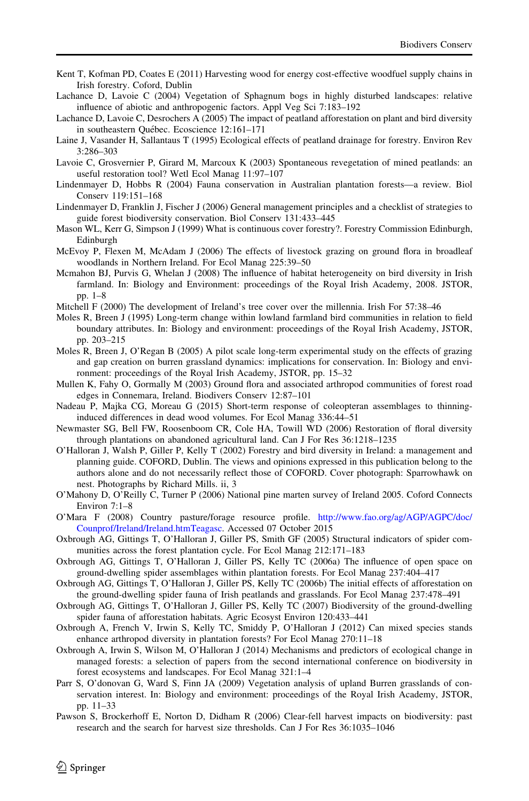- <span id="page-19-0"></span>Kent T, Kofman PD, Coates E (2011) Harvesting wood for energy cost-effective woodfuel supply chains in Irish forestry. Coford, Dublin
- Lachance D, Lavoie C (2004) Vegetation of Sphagnum bogs in highly disturbed landscapes: relative influence of abiotic and anthropogenic factors. Appl Veg Sci 7:183–192
- Lachance D, Lavoie C, Desrochers A (2005) The impact of peatland afforestation on plant and bird diversity in southeastern Québec. Ecoscience 12:161-171
- Laine J, Vasander H, Sallantaus T (1995) Ecological effects of peatland drainage for forestry. Environ Rev 3:286–303
- Lavoie C, Grosvernier P, Girard M, Marcoux K (2003) Spontaneous revegetation of mined peatlands: an useful restoration tool? Wetl Ecol Manag 11:97–107
- Lindenmayer D, Hobbs R (2004) Fauna conservation in Australian plantation forests—a review. Biol Conserv 119:151–168
- Lindenmayer D, Franklin J, Fischer J (2006) General management principles and a checklist of strategies to guide forest biodiversity conservation. Biol Conserv 131:433–445
- Mason WL, Kerr G, Simpson J (1999) What is continuous cover forestry?. Forestry Commission Edinburgh, Edinburgh
- McEvoy P, Flexen M, McAdam J (2006) The effects of livestock grazing on ground flora in broadleaf woodlands in Northern Ireland. For Ecol Manag 225:39–50
- Mcmahon BJ, Purvis G, Whelan J (2008) The influence of habitat heterogeneity on bird diversity in Irish farmland. In: Biology and Environment: proceedings of the Royal Irish Academy, 2008. JSTOR, pp. 1–8
- Mitchell F (2000) The development of Ireland's tree cover over the millennia. Irish For 57:38–46
- Moles R, Breen J (1995) Long-term change within lowland farmland bird communities in relation to field boundary attributes. In: Biology and environment: proceedings of the Royal Irish Academy, JSTOR, pp. 203–215
- Moles R, Breen J, O'Regan B (2005) A pilot scale long-term experimental study on the effects of grazing and gap creation on burren grassland dynamics: implications for conservation. In: Biology and environment: proceedings of the Royal Irish Academy, JSTOR, pp. 15–32
- Mullen K, Fahy O, Gormally M (2003) Ground flora and associated arthropod communities of forest road edges in Connemara, Ireland. Biodivers Conserv 12:87–101
- Nadeau P, Majka CG, Moreau G (2015) Short-term response of coleopteran assemblages to thinninginduced differences in dead wood volumes. For Ecol Manag 336:44–51
- Newmaster SG, Bell FW, Roosenboom CR, Cole HA, Towill WD (2006) Restoration of floral diversity through plantations on abandoned agricultural land. Can J For Res 36:1218–1235
- O'Halloran J, Walsh P, Giller P, Kelly T (2002) Forestry and bird diversity in Ireland: a management and planning guide. COFORD, Dublin. The views and opinions expressed in this publication belong to the authors alone and do not necessarily reflect those of COFORD. Cover photograph: Sparrowhawk on nest. Photographs by Richard Mills. ii, 3
- O'Mahony D, O'Reilly C, Turner P (2006) National pine marten survey of Ireland 2005. Coford Connects Environ 7:1–8
- O'Mara F (2008) Country pasture/forage resource profile. [http://www.fao.org/ag/AGP/AGPC/doc/](http://www.fao.org/ag/AGP/AGPC/doc/Counprof/Ireland/Ireland.htmTeagasc) [Counprof/Ireland/Ireland.htmTeagasc](http://www.fao.org/ag/AGP/AGPC/doc/Counprof/Ireland/Ireland.htmTeagasc). Accessed 07 October 2015
- Oxbrough AG, Gittings T, O'Halloran J, Giller PS, Smith GF (2005) Structural indicators of spider communities across the forest plantation cycle. For Ecol Manag 212:171–183
- Oxbrough AG, Gittings T, O'Halloran J, Giller PS, Kelly TC (2006a) The influence of open space on ground-dwelling spider assemblages within plantation forests. For Ecol Manag 237:404–417
- Oxbrough AG, Gittings T, O'Halloran J, Giller PS, Kelly TC (2006b) The initial effects of afforestation on the ground-dwelling spider fauna of Irish peatlands and grasslands. For Ecol Manag 237:478–491
- Oxbrough AG, Gittings T, O'Halloran J, Giller PS, Kelly TC (2007) Biodiversity of the ground-dwelling spider fauna of afforestation habitats. Agric Ecosyst Environ 120:433–441
- Oxbrough A, French V, Irwin S, Kelly TC, Smiddy P, O'Halloran J (2012) Can mixed species stands enhance arthropod diversity in plantation forests? For Ecol Manag 270:11–18
- Oxbrough A, Irwin S, Wilson M, O'Halloran J (2014) Mechanisms and predictors of ecological change in managed forests: a selection of papers from the second international conference on biodiversity in forest ecosystems and landscapes. For Ecol Manag 321:1–4
- Parr S, O'donovan G, Ward S, Finn JA (2009) Vegetation analysis of upland Burren grasslands of conservation interest. In: Biology and environment: proceedings of the Royal Irish Academy, JSTOR, pp. 11–33
- Pawson S, Brockerhoff E, Norton D, Didham R (2006) Clear-fell harvest impacts on biodiversity: past research and the search for harvest size thresholds. Can J For Res 36:1035–1046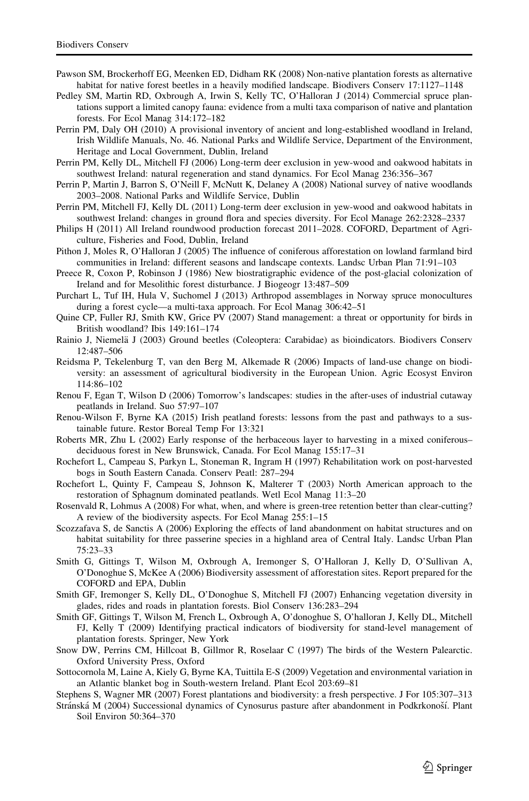- <span id="page-20-0"></span>Pawson SM, Brockerhoff EG, Meenken ED, Didham RK (2008) Non-native plantation forests as alternative habitat for native forest beetles in a heavily modified landscape. Biodivers Conserv 17:1127–1148
- Pedley SM, Martin RD, Oxbrough A, Irwin S, Kelly TC, O'Halloran J (2014) Commercial spruce plantations support a limited canopy fauna: evidence from a multi taxa comparison of native and plantation forests. For Ecol Manag 314:172–182
- Perrin PM, Daly OH (2010) A provisional inventory of ancient and long-established woodland in Ireland, Irish Wildlife Manuals, No. 46. National Parks and Wildlife Service, Department of the Environment, Heritage and Local Government, Dublin, Ireland
- Perrin PM, Kelly DL, Mitchell FJ (2006) Long-term deer exclusion in yew-wood and oakwood habitats in southwest Ireland: natural regeneration and stand dynamics. For Ecol Manag 236:356–367
- Perrin P, Martin J, Barron S, O'Neill F, McNutt K, Delaney A (2008) National survey of native woodlands 2003–2008. National Parks and Wildlife Service, Dublin
- Perrin PM, Mitchell FJ, Kelly DL (2011) Long-term deer exclusion in yew-wood and oakwood habitats in southwest Ireland: changes in ground flora and species diversity. For Ecol Manage 262:2328–2337
- Philips H (2011) All Ireland roundwood production forecast 2011–2028. COFORD, Department of Agriculture, Fisheries and Food, Dublin, Ireland
- Pithon J, Moles R, O'Halloran J (2005) The influence of coniferous afforestation on lowland farmland bird communities in Ireland: different seasons and landscape contexts. Landsc Urban Plan 71:91–103
- Preece R, Coxon P, Robinson J (1986) New biostratigraphic evidence of the post-glacial colonization of Ireland and for Mesolithic forest disturbance. J Biogeogr 13:487–509
- Purchart L, Tuf IH, Hula V, Suchomel J (2013) Arthropod assemblages in Norway spruce monocultures during a forest cycle—a multi-taxa approach. For Ecol Manag 306:42–51
- Quine CP, Fuller RJ, Smith KW, Grice PV (2007) Stand management: a threat or opportunity for birds in British woodland? Ibis 149:161–174
- Rainio J, Niemelä J (2003) Ground beetles (Coleoptera: Carabidae) as bioindicators. Biodivers Conserv 12:487–506
- Reidsma P, Tekelenburg T, van den Berg M, Alkemade R (2006) Impacts of land-use change on biodiversity: an assessment of agricultural biodiversity in the European Union. Agric Ecosyst Environ 114:86–102
- Renou F, Egan T, Wilson D (2006) Tomorrow's landscapes: studies in the after-uses of industrial cutaway peatlands in Ireland. Suo 57:97–107
- Renou-Wilson F, Byrne KA (2015) Irish peatland forests: lessons from the past and pathways to a sustainable future. Restor Boreal Temp For 13:321
- Roberts MR, Zhu L (2002) Early response of the herbaceous layer to harvesting in a mixed coniferous– deciduous forest in New Brunswick, Canada. For Ecol Manag 155:17–31
- Rochefort L, Campeau S, Parkyn L, Stoneman R, Ingram H (1997) Rehabilitation work on post-harvested bogs in South Eastern Canada. Conserv Peatl: 287–294
- Rochefort L, Quinty F, Campeau S, Johnson K, Malterer T (2003) North American approach to the restoration of Sphagnum dominated peatlands. Wetl Ecol Manag 11:3–20
- Rosenvald R, Lohmus A (2008) For what, when, and where is green-tree retention better than clear-cutting? A review of the biodiversity aspects. For Ecol Manag 255:1–15
- Scozzafava S, de Sanctis A (2006) Exploring the effects of land abandonment on habitat structures and on habitat suitability for three passerine species in a highland area of Central Italy. Landsc Urban Plan 75:23–33
- Smith G, Gittings T, Wilson M, Oxbrough A, Iremonger S, O'Halloran J, Kelly D, O'Sullivan A, O'Donoghue S, McKee A (2006) Biodiversity assessment of afforestation sites. Report prepared for the COFORD and EPA, Dublin
- Smith GF, Iremonger S, Kelly DL, O'Donoghue S, Mitchell FJ (2007) Enhancing vegetation diversity in glades, rides and roads in plantation forests. Biol Conserv 136:283–294
- Smith GF, Gittings T, Wilson M, French L, Oxbrough A, O'donoghue S, O'halloran J, Kelly DL, Mitchell FJ, Kelly T (2009) Identifying practical indicators of biodiversity for stand-level management of plantation forests. Springer, New York
- Snow DW, Perrins CM, Hillcoat B, Gillmor R, Roselaar C (1997) The birds of the Western Palearctic. Oxford University Press, Oxford
- Sottocornola M, Laine A, Kiely G, Byrne KA, Tuittila E-S (2009) Vegetation and environmental variation in an Atlantic blanket bog in South-western Ireland. Plant Ecol 203:69–81
- Stephens S, Wagner MR (2007) Forest plantations and biodiversity: a fresh perspective. J For 105:307–313 Stránská M (2004) Successional dynamics of Cynosurus pasture after abandonment in Podkrkonoší. Plant Soil Environ 50:364–370